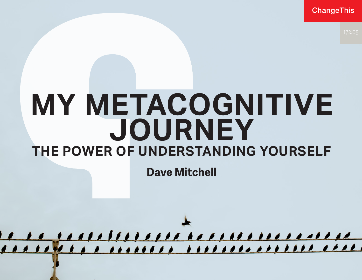ChangeThis

# **MY METACOGNITIVE JOURNEY THE POWER OF UNDERSTANDING YOURSELF**

**Dave Mitchell**

<u>ELLELENN NIONENLANDIDEN ARA</u>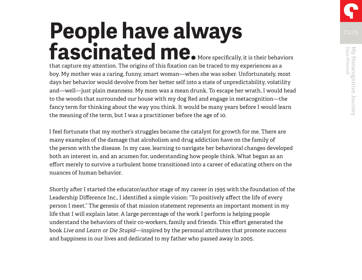# **People have always**  fascinated me. More specifically, it is their behaviors

that capture my attention. The origins of this fixation can be traced to my experiences as a boy. My mother was a caring, funny, smart woman—when she was sober. Unfortunately, most days her behavior would devolve from her better self into a state of unpredictability, volatility and—well—just plain meanness. My mom was a mean drunk. To escape her wrath, I would head to the woods that surrounded our house with my dog Red and engage in metacognition—the fancy term for thinking about the way you think. It would be many years before I would learn the meaning of the term, but I was a practitioner before the age of 10.

I feel fortunate that my mother's struggles became the catalyst for growth for me. There are many examples of the damage that alcoholism and drug addiction have on the family of the person with the disease. In my case, learning to navigate her behavioral changes developed both an interest in, and an acumen for, understanding how people think. What began as an effort merely to survive a turbulent home transitioned into a career of educating others on the nuances of human behavior.

Shortly after I started the educator/author stage of my career in 1995 with the foundation of the Leadership Difference Inc., I identified a simple vision: "To positively affect the life of every person I meet." The genesis of that mission statement represents an important moment in my life that I will explain later. A large percentage of the work I perform is helping people understand the behaviors of their co-workers, family and friends. This effort generated the book *Live and Learn or Die Stupid*—inspired by the personal attributes that promote success and happiness in our lives and dedicated to my father who passed away in 2005.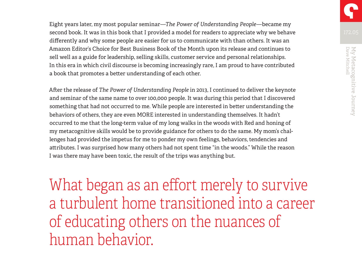Eight years later, my most popular seminar—*The Power of Understanding People*—became my second book. It was in this book that I provided a model for readers to appreciate why we behave differently and why some people are easier for us to communicate with than others. It was an Amazon Editor's Choice for Best Business Book of the Month upon its release and continues to sell well as a guide for leadership, selling skills, customer service and personal relationships. In this era in which civil discourse is becoming increasingly rare, I am proud to have contributed a book that promotes a better understanding of each other.

After the release of *The Power of Understanding People* in 2013, I continued to deliver the keynote and seminar of the same name to over 100,000 people. It was during this period that I discovered something that had not occurred to me. While people are interested in better understanding the behaviors of others, they are even MORE interested in understanding themselves. It hadn't occurred to me that the long-term value of my long walks in the woods with Red and honing of my metacognitive skills would be to provide guidance for others to do the same. My mom's challenges had provided the impetus for me to ponder my own feelings, behaviors, tendencies and attributes. I was surprised how many others had not spent time "in the woods." While the reason I was there may have been toxic, the result of the trips was anything but.

What began as an effort merely to survive a turbulent home transitioned into a career of educating others on the nuances of human behavior.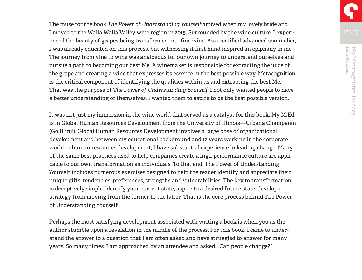The muse for the book *The Power of Understanding Yourself* arrived when my lovely bride and I moved to the Walla Walla Valley wine region in 2015. Surrounded by the wine culture, I experienced the beauty of grapes being transformed into fine wine. As a certified advanced sommelier, I was already educated on this process, but witnessing it first hand inspired an epiphany in me. The journey from vine to wine was analogous for our own journey to understand ourselves and pursue a path to becoming our best Me. A winemaker is responsible for extracting the juice of the grape and creating a wine that expresses its essence in the best possible way. Metacognition is the critical component of identifying the qualities within us and extracting the best Me. That was the purpose of *The Power of Understanding Yourself*. I not only wanted people to have a better understanding of themselves, I wanted them to aspire to be the best possible version.

It was not just my immersion in the wine world that served as a catalyst for this book. My M.Ed. is in Global Human Resources Development from the University of Illinois—Urbana Champaign (Go Illini!). Global Human Resources Development involves a large dose of organizational development and between my educational background and 12 years working in the corporate world in human resources development, I have substantial experience in leading change. Many of the same best practices used to help companies create a high-performance culture are applicable to our own transformation as individuals. To that end, The Power of Understanding Yourself includes numerous exercises designed to help the reader identify and appreciate their unique gifts, tendencies, preferences, strengths and vulnerabilities. The key to transformation is deceptively simple: identify your current state, aspire to a desired future state, develop a strategy from moving from the former to the latter. That is the core process behind The Power of Understanding Yourself.

Perhaps the most satisfying development associated with writing a book is when you as the author stumble upon a revelation in the middle of the process. For this book, I came to understand the answer to a question that I am often asked and have struggled to answer for many years. So many times, I am approached by an attendee and asked, "Can people change?"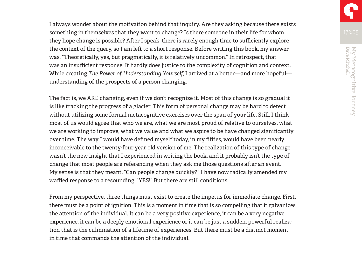I always wonder about the motivation behind that inquiry. Are they asking because there exists something in themselves that they want to change? Is there someone in their life for whom they hope change is possible? After I speak, there is rarely enough time to sufficiently explore the context of the query, so I am left to a short response. Before writing this book, my answer was, "Theoretically, yes, but pragmatically, it is relatively uncommon." In retrospect, that was an insufficient response. It hardly does justice to the complexity of cognition and context. While creating *The Power of Understanding Yourself*, I arrived at a better—and more hopeful understanding of the prospects of a person changing.

The fact is, we ARE changing, even if we don't recognize it. Most of this change is so gradual it is like tracking the progress of a glacier. This form of personal change may be hard to detect without utilizing some formal metacognitive exercises over the span of your life. Still, I think most of us would agree that who we are, what we are most proud of relative to ourselves, what we are working to improve, what we value and what we aspire to be have changed significantly over time. The way I would have defined myself today, in my fifties, would have been nearly inconceivable to the twenty-four year old version of me. The realization of this type of change wasn't the new insight that I experienced in writing the book, and it probably isn't the type of change that most people are referencing when they ask me those questions after an event. My sense is that they meant, "Can people change quickly?" I have now radically amended my waffled response to a resounding, "YES!" But there are still conditions.

From my perspective, three things must exist to create the impetus for immediate change. First, there must be a point of ignition. This is a moment in time that is so compelling that it galvanizes the attention of the individual. It can be a very positive experience, it can be a very negative experience, it can be a deeply emotional experience or it can be just a sudden, powerful realization that is the culmination of a lifetime of experiences. But there must be a distinct moment in time that commands the attention of the individual.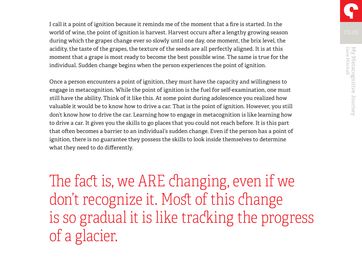I call it a point of ignition because it reminds me of the moment that a fire is started. In the world of wine, the point of ignition is harvest. Harvest occurs after a lengthy growing season during which the grapes change ever so slowly until one day, one moment, the brix level, the acidity, the taste of the grapes, the texture of the seeds are all perfectly aligned. It is at this moment that a grape is most ready to become the best possible wine. The same is true for the individual. Sudden change begins when the person experiences the point of ignition.

Once a person encounters a point of ignition, they must have the capacity and willingness to engage in metacognition. While the point of ignition is the fuel for self-examination, one must still have the ability. Think of it like this. At some point during adolescence you realized how valuable it would be to know how to drive a car. That is the point of ignition. However, you still don't know how to drive the car. Learning how to engage in metacognition is like learning how to drive a car. It gives you the skills to go places that you could not reach before. It is this part that often becomes a barrier to an individual's sudden change. Even if the person has a point of ignition, there is no guarantee they possess the skills to look inside themselves to determine what they need to do differently.

The fact is, we ARE changing, even if we don't recognize it. Most of this change is so gradual it is like tracking the progress of a glacier.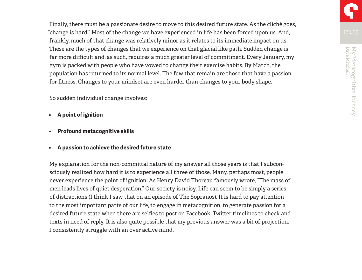Finally, there must be a passionate desire to move to this desired future state. As the cliché goes, "change is hard." Most of the change we have experienced in life has been forced upon us. And, frankly, much of that change was relatively minor as it relates to its immediate impact on us. These are the types of changes that we experience on that glacial like path. Sudden change is far more difficult and, as such, requires a much greater level of commitment. Every January, my gym is packed with people who have vowed to change their exercise habits. By March, the population has returned to its normal level. The few that remain are those that have a passion for fitness. Changes to your mindset are even harder than changes to your body shape.

So sudden individual change involves:

- **• A point of ignition**
- **• Profound metacognitive skills**
- **• A passion to achieve the desired future state**

My explanation for the non-committal nature of my answer all those years is that I subconsciously realized how hard it is to experience all three of those. Many, perhaps most, people never experience the point of ignition. As Henry David Thoreau famously wrote, "The mass of men leads lives of quiet desperation." Our society is noisy. Life can seem to be simply a series of distractions (I think I saw that on an episode of The Sopranos). It is hard to pay attention to the most important parts of our life, to engage in metacognition, to generate passion for a desired future state when there are selfies to post on Facebook, Twitter timelines to check and texts in need of reply. It is also quite possible that my previous answer was a bit of projection. I consistently struggle with an over active mind.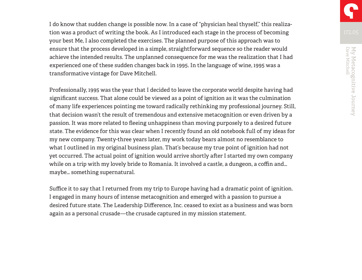I do know that sudden change is possible now. In a case of "physician heal thyself," this realization was a product of writing the book. As I introduced each stage in the process of becoming your best Me, I also completed the exercises. The planned purpose of this approach was to ensure that the process developed in a simple, straightforward sequence so the reader would achieve the intended results. The unplanned consequence for me was the realization that I had experienced one of these sudden changes back in 1995. In the language of wine, 1995 was a transformative vintage for Dave Mitchell.

Professionally, 1995 was the year that I decided to leave the corporate world despite having had significant success. That alone could be viewed as a point of ignition as it was the culmination of many life experiences pointing me toward radically rethinking my professional journey. Still, that decision wasn't the result of tremendous and extensive metacognition or even driven by a passion. It was more related to fleeing unhappiness than moving purposely to a desired future state. The evidence for this was clear when I recently found an old notebook full of my ideas for my new company. Twenty-three years later, my work today bears almost no resemblance to what I outlined in my original business plan. That's because my true point of ignition had not yet occurred. The actual point of ignition would arrive shortly after I started my own company while on a trip with my lovely bride to Romania. It involved a castle, a dungeon, a coffin and… maybe… something supernatural.

Suffice it to say that I returned from my trip to Europe having had a dramatic point of ignition. I engaged in many hours of intense metacognition and emerged with a passion to pursue a desired future state. The Leadership Difference, Inc. ceased to exist as a business and was born again as a personal crusade—the crusade captured in my mission statement.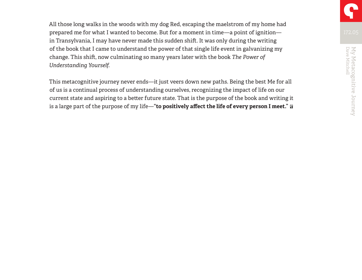All those long walks in the woods with my dog Red, escaping the maelstrom of my home had prepared me for what I wanted to become. But for a moment in time—a point of ignition in Transylvania, I may have never made this sudden shift. It was only during the writing of the book that I came to understand the power of that single life event in galvanizing my change. This shift, now culminating so many years later with the book *The Power of Understanding Yourself.*

This metacognitive journey never ends—it just veers down new paths. Being the best Me for all of us is a continual process of understanding ourselves, recognizing the impact of life on our current state and aspiring to a better future state. That is the purpose of the book and writing it is a large part of the purpose of my life—"**to positively affect the life of every person I meet." a**